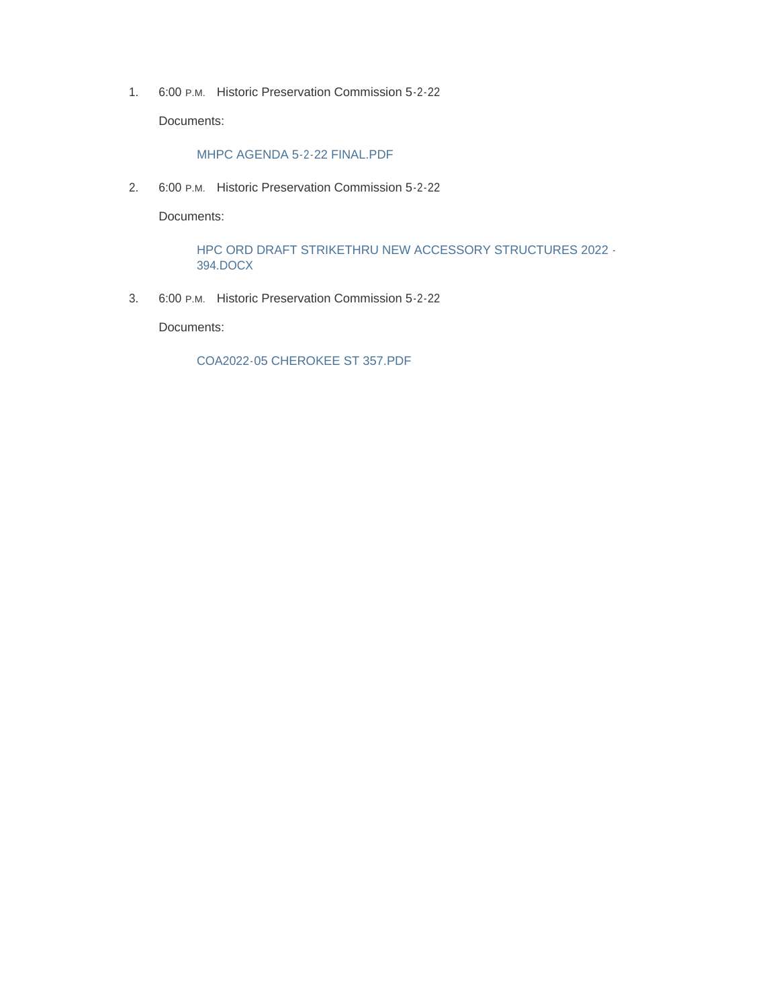1. 6:00 P.M. Historic Preservation Commission 5-2-22 Documents:

MHPC AGENDA 5-2-22 FINAL.PDF

2. 6:00 P.M. Historic Preservation Commission 5-2-22

Documents:

HPC ORD DRAFT STRIKETHRU NEW ACCESSORY STRUCTURES 2022 - 394.DOCX

3. 6:00 P.M. Historic Preservation Commission 5-2-22

Documents:

COA2022-05 CHEROKEE ST 357.PDF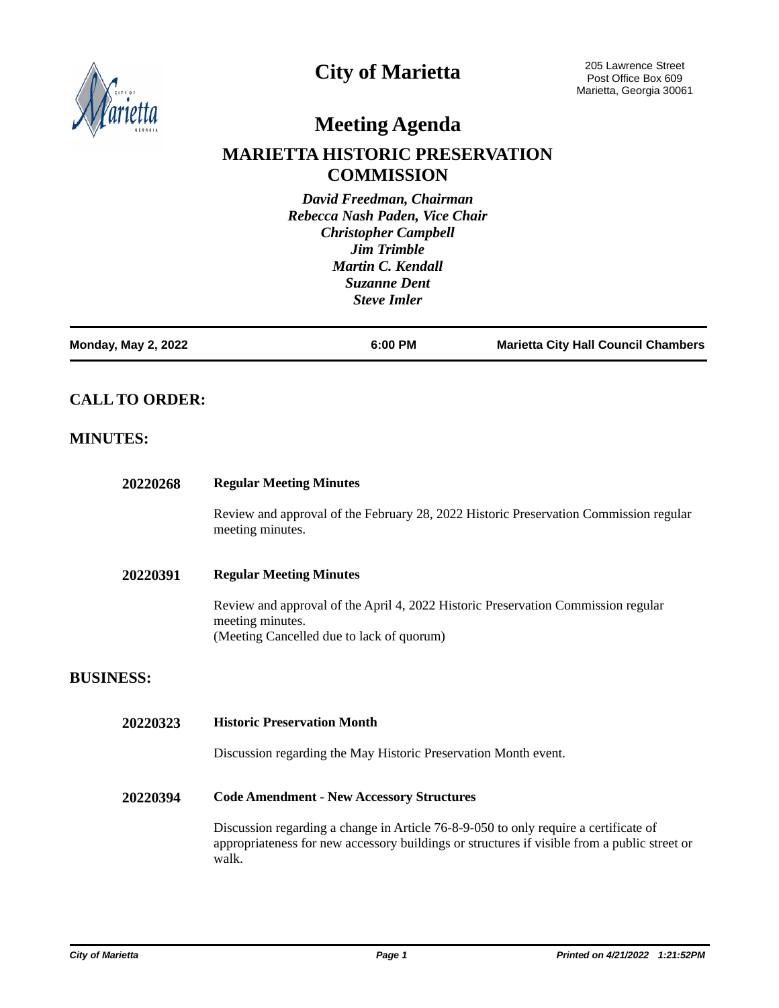

## **City of Marietta**

# **Meeting Agenda**

## **MARIETTA HISTORIC PRESERVATION COMMISSION**

*David Freedman, Chairman Rebecca Nash Paden, Vice Chair Christopher Campbell Jim Trimble Martin C. Kendall Suzanne Dent Steve Imler*

| <b>Monday, May 2, 2022</b> | 6:00 PM | <b>Marietta City Hall Council Chambers</b> |
|----------------------------|---------|--------------------------------------------|
|                            |         |                                            |

### **CALL TO ORDER:**

#### **MINUTES:**

| 20220268         | <b>Regular Meeting Minutes</b>                                                                                                                                                                |
|------------------|-----------------------------------------------------------------------------------------------------------------------------------------------------------------------------------------------|
|                  | Review and approval of the February 28, 2022 Historic Preservation Commission regular<br>meeting minutes.                                                                                     |
| 20220391         | <b>Regular Meeting Minutes</b>                                                                                                                                                                |
|                  | Review and approval of the April 4, 2022 Historic Preservation Commission regular<br>meeting minutes.<br>(Meeting Cancelled due to lack of quorum)                                            |
| <b>BUSINESS:</b> |                                                                                                                                                                                               |
| 20220323         | <b>Historic Preservation Month</b>                                                                                                                                                            |
|                  | Discussion regarding the May Historic Preservation Month event.                                                                                                                               |
| 20220394         | <b>Code Amendment - New Accessory Structures</b>                                                                                                                                              |
|                  | Discussion regarding a change in Article 76-8-9-050 to only require a certificate of<br>appropriateness for new accessory buildings or structures if visible from a public street or<br>walk. |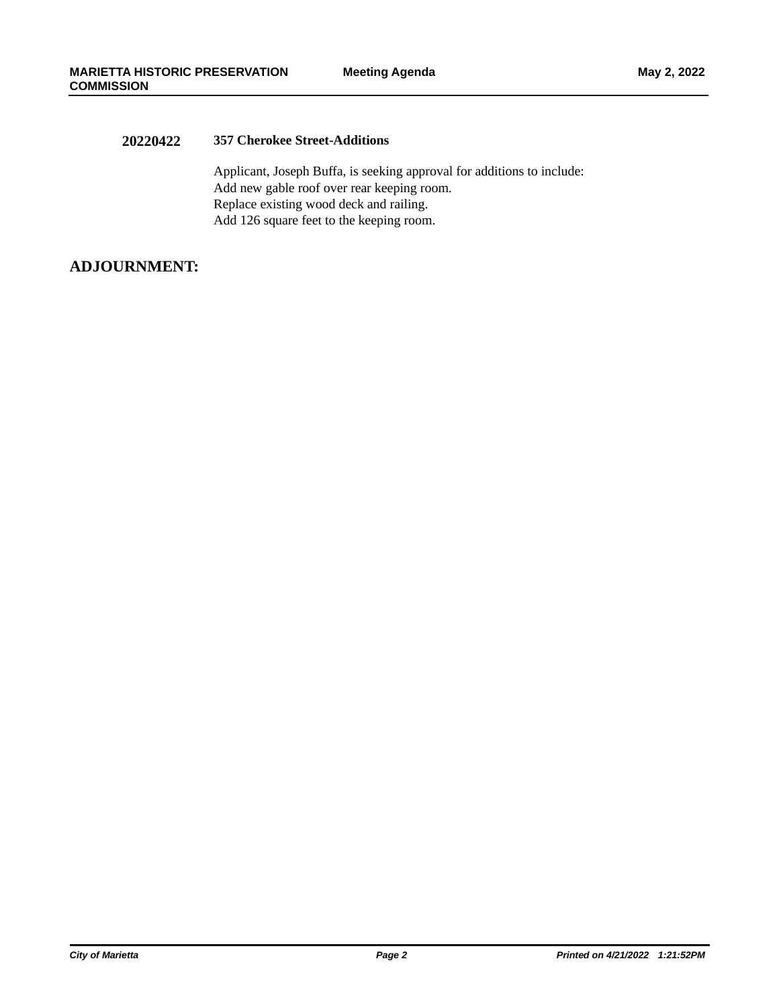#### **20220422 357 Cherokee Street-Additions**

Applicant, Joseph Buffa, is seeking approval for additions to include: • Add new gable roof over rear keeping room. Replace existing wood deck and railing. Add 126 square feet to the keeping room.

#### **ADJOURNMENT:**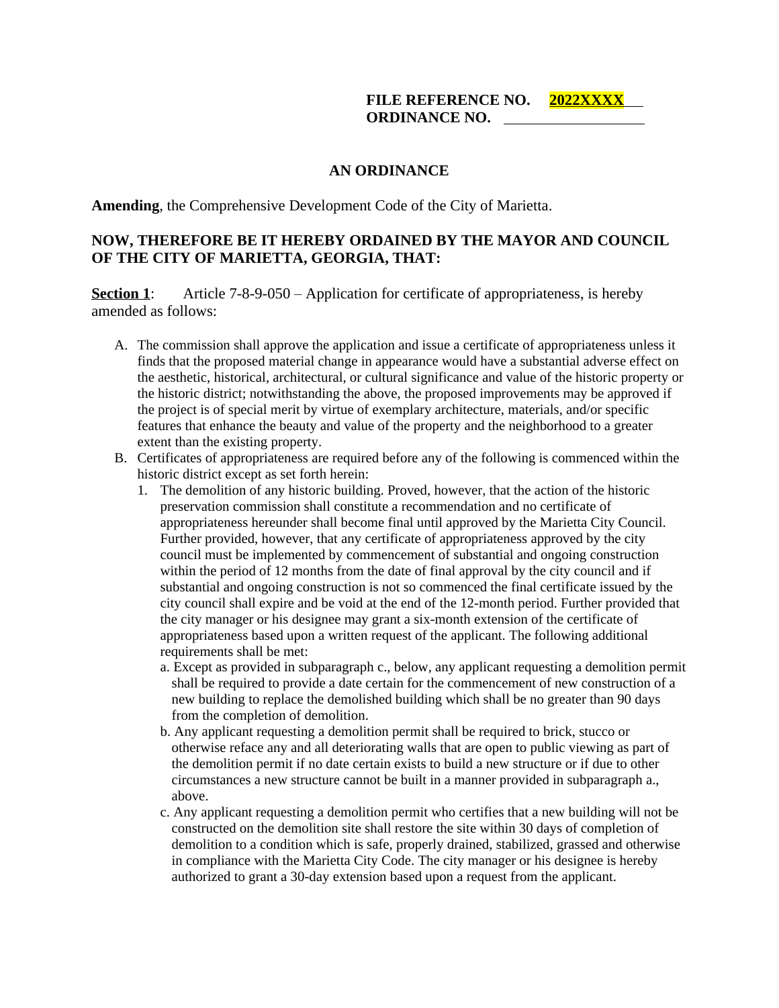#### FILE REFERENCE NO. 2022XXXX **ORDINANCE NO.**

#### **AN ORDINANCE**

**Amending**, the Comprehensive Development Code of the City of Marietta.

#### **NOW, THEREFORE BE IT HEREBY ORDAINED BY THE MAYOR AND COUNCIL OF THE CITY OF MARIETTA, GEORGIA, THAT:**

**<u>Section 1</u>**: Article 7-8-9-050 – Application for certificate of appropriateness, is hereby amended as follows:

- A. The commission shall approve the application and issue a certificate of appropriateness unless it finds that the proposed material change in appearance would have a substantial adverse effect on the aesthetic, historical, architectural, or cultural significance and value of the historic property or the historic district; notwithstanding the above, the proposed improvements may be approved if the project is of special merit by virtue of exemplary architecture, materials, and/or specific features that enhance the beauty and value of the property and the neighborhood to a greater extent than the existing property.
- B. Certificates of appropriateness are required before any of the following is commenced within the historic district except as set forth herein:
	- 1. The demolition of any historic building. Proved, however, that the action of the historic preservation commission shall constitute a recommendation and no certificate of appropriateness hereunder shall become final until approved by the Marietta City Council. Further provided, however, that any certificate of appropriateness approved by the city council must be implemented by commencement of substantial and ongoing construction within the period of 12 months from the date of final approval by the city council and if substantial and ongoing construction is not so commenced the final certificate issued by the city council shall expire and be void at the end of the 12-month period. Further provided that the city manager or his designee may grant a six-month extension of the certificate of appropriateness based upon a written request of the applicant. The following additional requirements shall be met:
		- a. Except as provided in subparagraph c., below, any applicant requesting a demolition permit shall be required to provide a date certain for the commencement of new construction of a new building to replace the demolished building which shall be no greater than 90 days from the completion of demolition.
		- b. Any applicant requesting a demolition permit shall be required to brick, stucco or otherwise reface any and all deteriorating walls that are open to public viewing as part of the demolition permit if no date certain exists to build a new structure or if due to other circumstances a new structure cannot be built in a manner provided in subparagraph a., above.
		- c. Any applicant requesting a demolition permit who certifies that a new building will not be constructed on the demolition site shall restore the site within 30 days of completion of demolition to a condition which is safe, properly drained, stabilized, grassed and otherwise in compliance with the Marietta City Code. The city manager or his designee is hereby authorized to grant a 30-day extension based upon a request from the applicant.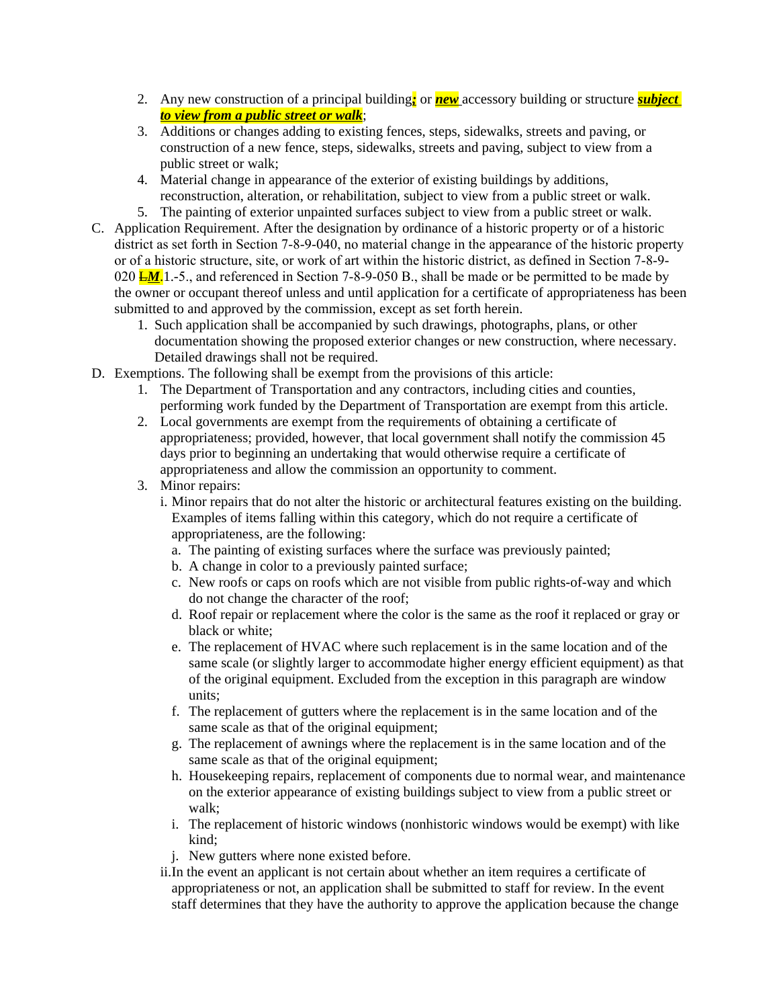- 2. Any new construction of a principal building*;* or *new* accessory building or structure *subject to view from a public street or walk*;
- 3. Additions or changes adding to existing fences, steps, sidewalks, streets and paving, or construction of a new fence, steps, sidewalks, streets and paving, subject to view from a public street or walk;
- 4. Material change in appearance of the exterior of existing buildings by additions, reconstruction, alteration, or rehabilitation, subject to view from a public street or walk.
- 5. The painting of exterior unpainted surfaces subject to view from a public street or walk.
- C. Application Requirement. After the designation by ordinance of a historic property or of a historic district as set forth in Section 7-8-9-040, no material change in the appearance of the historic property or of a historic structure, site, or work of art within the historic district, as defined in Section 7-8-9- 020 **LM.** 1.-5., and referenced in Section 7-8-9-050 B., shall be made or be permitted to be made by the owner or occupant thereof unless and until application for a certificate of appropriateness has been submitted to and approved by the commission, except as set forth herein.
	- 1. Such application shall be accompanied by such drawings, photographs, plans, or other documentation showing the proposed exterior changes or new construction, where necessary. Detailed drawings shall not be required.
- D. Exemptions. The following shall be exempt from the provisions of this article:
	- 1. The Department of Transportation and any contractors, including cities and counties, performing work funded by the Department of Transportation are exempt from this article.
	- 2. Local governments are exempt from the requirements of obtaining a certificate of appropriateness; provided, however, that local government shall notify the commission 45 days prior to beginning an undertaking that would otherwise require a certificate of appropriateness and allow the commission an opportunity to comment.
	- 3. Minor repairs:
		- i. Minor repairs that do not alter the historic or architectural features existing on the building. Examples of items falling within this category, which do not require a certificate of appropriateness, are the following:
			- a. The painting of existing surfaces where the surface was previously painted;
			- b. A change in color to a previously painted surface;
			- c. New roofs or caps on roofs which are not visible from public rights-of-way and which do not change the character of the roof;
			- d. Roof repair or replacement where the color is the same as the roof it replaced or gray or black or white;
			- e. The replacement of HVAC where such replacement is in the same location and of the same scale (or slightly larger to accommodate higher energy efficient equipment) as that of the original equipment. Excluded from the exception in this paragraph are window units;
			- f. The replacement of gutters where the replacement is in the same location and of the same scale as that of the original equipment;
			- g. The replacement of awnings where the replacement is in the same location and of the same scale as that of the original equipment;
			- h. Housekeeping repairs, replacement of components due to normal wear, and maintenance on the exterior appearance of existing buildings subject to view from a public street or walk;
			- i. The replacement of historic windows (nonhistoric windows would be exempt) with like kind;
			- j. New gutters where none existed before.
		- ii.In the event an applicant is not certain about whether an item requires a certificate of appropriateness or not, an application shall be submitted to staff for review. In the event staff determines that they have the authority to approve the application because the change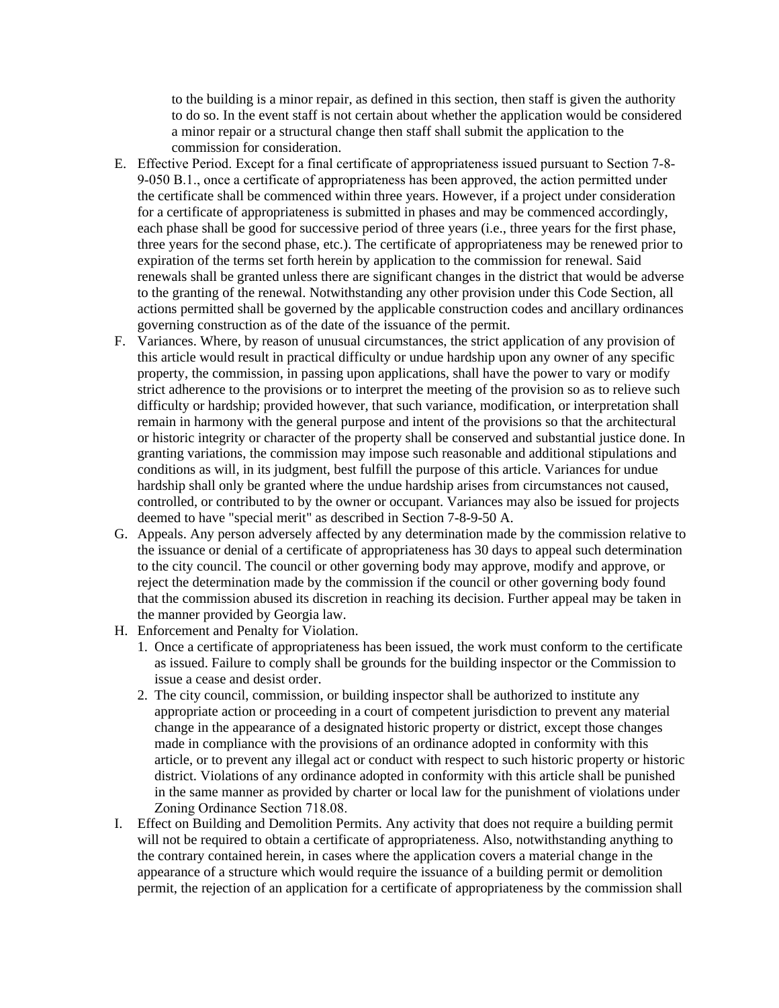to the building is a minor repair, as defined in this section, then staff is given the authority to do so. In the event staff is not certain about whether the application would be considered a minor repair or a structural change then staff shall submit the application to the commission for consideration.

- E. Effective Period. Except for a final certificate of appropriateness issued pursuant to Section 7-8- 9-050 B.1., once a certificate of appropriateness has been approved, the action permitted under the certificate shall be commenced within three years. However, if a project under consideration for a certificate of appropriateness is submitted in phases and may be commenced accordingly, each phase shall be good for successive period of three years (i.e., three years for the first phase, three years for the second phase, etc.). The certificate of appropriateness may be renewed prior to expiration of the terms set forth herein by application to the commission for renewal. Said renewals shall be granted unless there are significant changes in the district that would be adverse to the granting of the renewal. Notwithstanding any other provision under this Code Section, all actions permitted shall be governed by the applicable construction codes and ancillary ordinances governing construction as of the date of the issuance of the permit.
- F. Variances. Where, by reason of unusual circumstances, the strict application of any provision of this article would result in practical difficulty or undue hardship upon any owner of any specific property, the commission, in passing upon applications, shall have the power to vary or modify strict adherence to the provisions or to interpret the meeting of the provision so as to relieve such difficulty or hardship; provided however, that such variance, modification, or interpretation shall remain in harmony with the general purpose and intent of the provisions so that the architectural or historic integrity or character of the property shall be conserved and substantial justice done. In granting variations, the commission may impose such reasonable and additional stipulations and conditions as will, in its judgment, best fulfill the purpose of this article. Variances for undue hardship shall only be granted where the undue hardship arises from circumstances not caused, controlled, or contributed to by the owner or occupant. Variances may also be issued for projects deemed to have "special merit" as described in Section 7-8-9-50 A.
- G. Appeals. Any person adversely affected by any determination made by the commission relative to the issuance or denial of a certificate of appropriateness has 30 days to appeal such determination to the city council. The council or other governing body may approve, modify and approve, or reject the determination made by the commission if the council or other governing body found that the commission abused its discretion in reaching its decision. Further appeal may be taken in the manner provided by Georgia law.
- H. Enforcement and Penalty for Violation.
	- 1. Once a certificate of appropriateness has been issued, the work must conform to the certificate as issued. Failure to comply shall be grounds for the building inspector or the Commission to issue a cease and desist order.
	- 2. The city council, commission, or building inspector shall be authorized to institute any appropriate action or proceeding in a court of competent jurisdiction to prevent any material change in the appearance of a designated historic property or district, except those changes made in compliance with the provisions of an ordinance adopted in conformity with this article, or to prevent any illegal act or conduct with respect to such historic property or historic district. Violations of any ordinance adopted in conformity with this article shall be punished in the same manner as provided by charter or local law for the punishment of violations under Zoning Ordinance Section 718.08.
- I. Effect on Building and Demolition Permits. Any activity that does not require a building permit will not be required to obtain a certificate of appropriateness. Also, notwithstanding anything to the contrary contained herein, in cases where the application covers a material change in the appearance of a structure which would require the issuance of a building permit or demolition permit, the rejection of an application for a certificate of appropriateness by the commission shall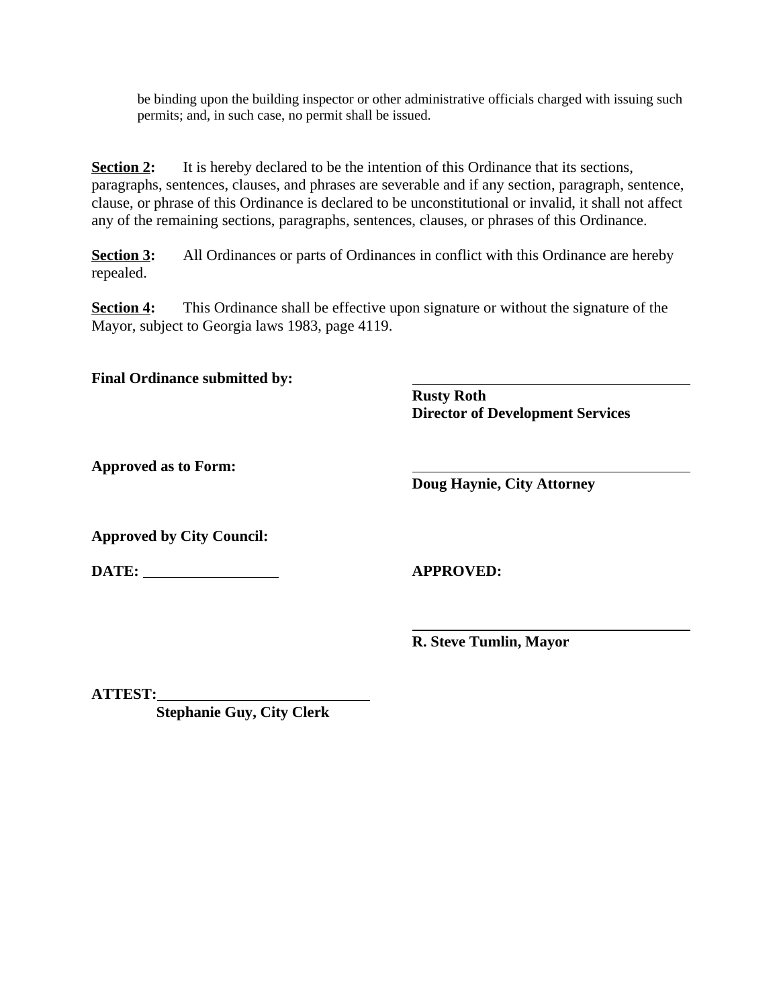be binding upon the building inspector or other administrative officials charged with issuing such permits; and, in such case, no permit shall be issued.

**Section 2:** It is hereby declared to be the intention of this Ordinance that its sections, paragraphs, sentences, clauses, and phrases are severable and if any section, paragraph, sentence, clause, or phrase of this Ordinance is declared to be unconstitutional or invalid, it shall not affect any of the remaining sections, paragraphs, sentences, clauses, or phrases of this Ordinance.

**Section 3:** All Ordinances or parts of Ordinances in conflict with this Ordinance are hereby repealed.

**Section 4:** This Ordinance shall be effective upon signature or without the signature of the Mayor, subject to Georgia laws 1983, page 4119.

**Final Ordinance submitted by:** 

**Rusty Roth Director of Development Services**

**Approved as to Form:** 

**Doug Haynie, City Attorney**

**Approved by City Council:**

**DATE:** APPROVED:

 **R. Steve Tumlin, Mayor**

**ATTEST:** 

 **Stephanie Guy, City Clerk**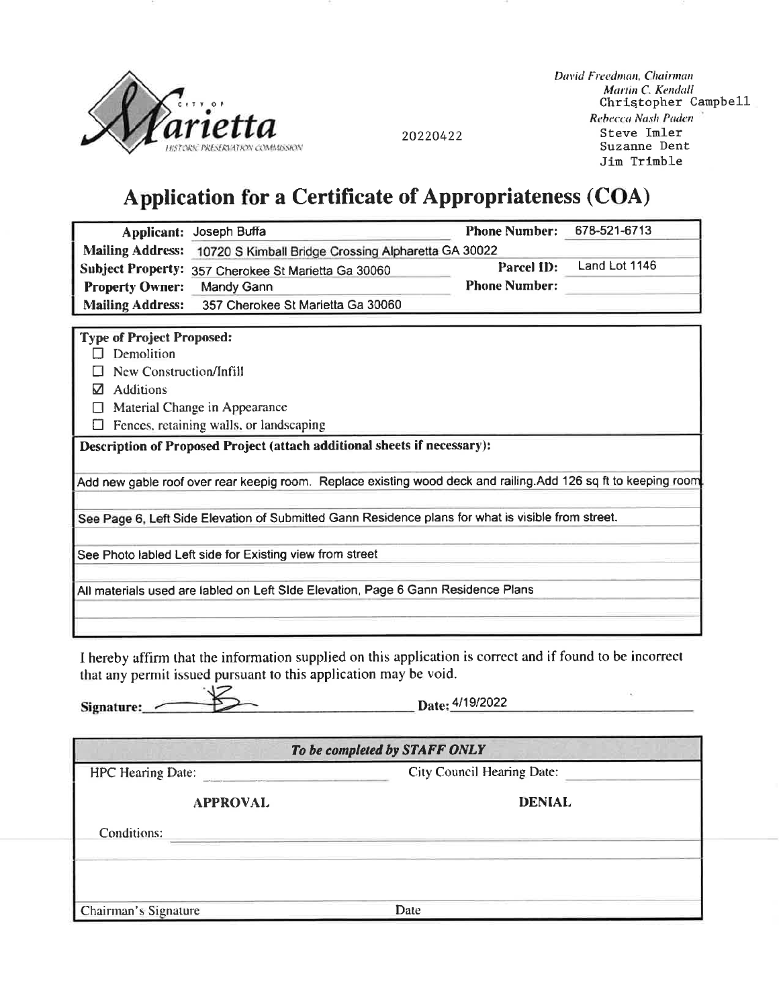

20220422

David Freedman, Chairman Martin C. Kendall Christopher Campbell Rebecca Nash Paden Steve Imler Suzanne Dent Jim Trimble

# Application for a Certificate of Appropriateness (COA)

|                                                                                                                | Applicant: Joseph Buffa                                                                            | <b>Phone Number:</b> | 678-521-6713  |  |  |
|----------------------------------------------------------------------------------------------------------------|----------------------------------------------------------------------------------------------------|----------------------|---------------|--|--|
| <b>Mailing Address:</b>                                                                                        | 10720 S Kimball Bridge Crossing Alpharetta GA 30022                                                |                      |               |  |  |
|                                                                                                                | Subject Property: 357 Cherokee St Marietta Ga 30060                                                | <b>Parcel ID:</b>    | Land Lot 1146 |  |  |
| <b>Property Owner:</b>                                                                                         | Mandy Gann                                                                                         | <b>Phone Number:</b> |               |  |  |
|                                                                                                                | Mailing Address: 357 Cherokee St Marietta Ga 30060                                                 |                      |               |  |  |
|                                                                                                                |                                                                                                    |                      |               |  |  |
| <b>Type of Project Proposed:</b>                                                                               |                                                                                                    |                      |               |  |  |
| Demolition                                                                                                     |                                                                                                    |                      |               |  |  |
| New Construction/Infill                                                                                        |                                                                                                    |                      |               |  |  |
| <b>Additions</b><br>М                                                                                          |                                                                                                    |                      |               |  |  |
| Material Change in Appearance                                                                                  |                                                                                                    |                      |               |  |  |
| Fences, retaining walls, or landscaping<br>U                                                                   |                                                                                                    |                      |               |  |  |
| Description of Proposed Project (attach additional sheets if necessary):                                       |                                                                                                    |                      |               |  |  |
| Add new gable roof over rear keepig room. Replace existing wood deck and railing.Add 126 sq ft to keeping room |                                                                                                    |                      |               |  |  |
|                                                                                                                | See Page 6, Left Side Elevation of Submitted Gann Residence plans for what is visible from street. |                      |               |  |  |

See Photo labled Left side for Existing view from street

All materials used are labled on Left SIde Elevation, Page 6 Gann Residence Plans

I hereby affirm that the information supplied on this application is correct and if found to be incorrect that any permit issued pursuant to this application may be void.

Signature:

Date: 4/19/2022

| To be completed by STAFF ONLY |                            |  |  |
|-------------------------------|----------------------------|--|--|
| <b>HPC Hearing Date:</b>      | City Council Hearing Date: |  |  |
| <b>APPROVAL</b>               | <b>DENIAL</b>              |  |  |
| Conditions:                   |                            |  |  |
| Chairman's Signature          | Date                       |  |  |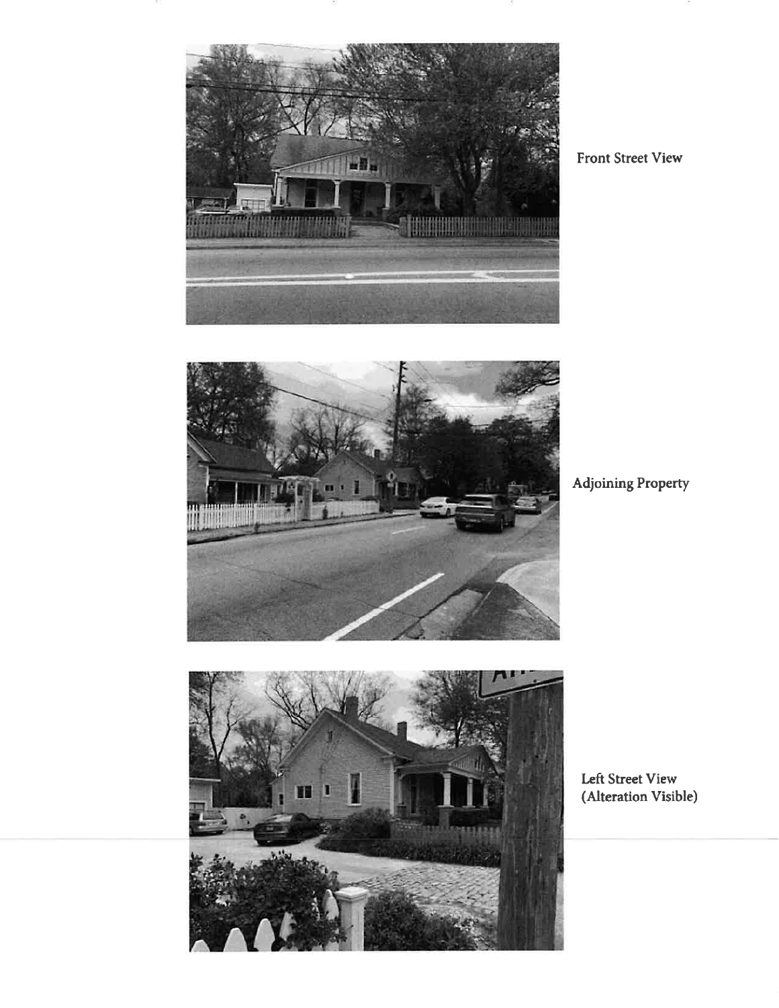

Front Street View



**Adjoining Property** 



Left Street View (Alteration Visible)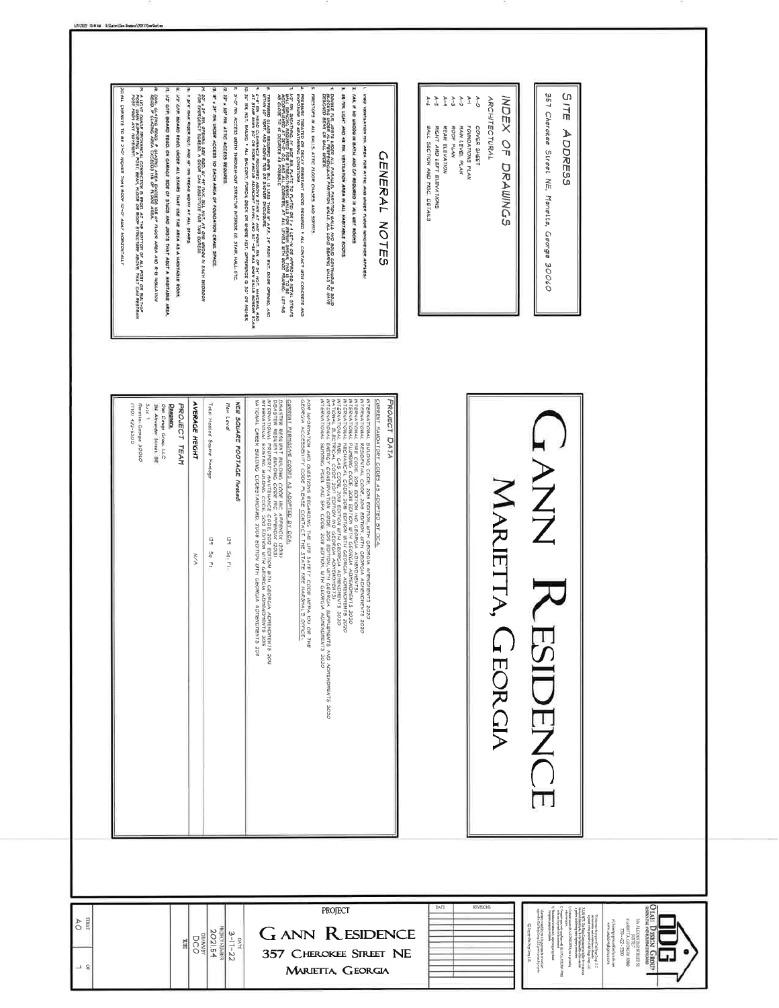| WTERWA TOWAL BRILOWS, CODE, 2018 BEITICAL WITH GERSEA AF APPORIENTS 2020<br>WEBMANDAMA TRIE DIORIE 2018 BOI IDM MO LERORIA ADHENDENTS 2020<br>WITHOUT DAMA TRIE DIORIE 2018 BOI IDM MO LERORIA ADHENDIRENTS IN 2020<br>WITHOUT DAMA TRI<br>DISASTER RESULENT BUILDING CODE IRC APPENIOX (2013)<br>INTERNATIONAL PROPERTY MANTEMANE CODE IRC APPENIOX (2013)<br>INTERNATIONAL PROPERTY MANTEMANE CODE 2021 ROTTON WITH CLEORICAL ADDENTISTISTS 2015<br>INTERNATIONAL PROPERTY MANTE<br>FOR INFORMATION AND QUESTIONS REGARDING THE LIFE SAFETY CODE INFPA.<br>GEORGIA ACCESSIBILITY CODE PLEASE CONTACT THE STATE FIRE MARSHAL!<br>CURRENT MANDATORY CODES AS ADOPTED BY DCA.<br>PROJECT<br>CURRENT PERMISSIVE CODES AS ADOPTED BY DCA:<br><b>AVERACE HEIGHT</b><br>WEW<br>Main Level<br>Sute 1<br>3it Alexan Street, 3E<br>Olah Desgn Group. LLC<br><b>PROJECT</b><br>Total Heated<br>UTIO) 422-5200<br>Hanetta Georgia 30060<br>Denanta<br><b>SQUARE</b><br><b>DATA</b><br>Square Footage<br>TEAM<br>FOOTAGE (heated)<br>「ANN」<br>NND<br>MARIETTA<br>54<br>짚<br>5q<br>οq<br>A/A<br>F<br>F<br><b>IOII OR THE</b><br><b>5 OFFICE</b><br>59<br>I EORGIA | IL UT GYP, BOARD REGD, ON GARAGE SOE OF STUDS AND JOSTS THAT ADDT A HABITABLE AREA.<br>O.ALL CHINEYS TO BE 2-O" HIGHER THAN ROOF IO"-O" AWAY HORIZONTALLY<br>DUAL CLAZING REQD. IF GLAZING AREA EXCEEDB IOIE OF FLOOR AREA AND R-13 INBULATION<br>REQD. IF GLAZING AREA EXCEEDB IAE OF FLOOR AREA.<br>A JELAT GAJAGE MECHAWGA L CONNECTION IS REQD, AT THE BOTTOM OF ALL POST OR BULT-UP AN<br>A JELAT GAJAGE MECHAWGA L CONNECTION IS REQD, AT THE BOTTOM OF ALL POST OR BULT-UP AN<br>POST MROM ANY HOVEMBNT, OST, BEAN, MLOOR OR ROOP S | W. U.T. Give BoARD REGO, UIDER ALL STANS THAT USE THE AREA AS A HABITABLE ROOM | Ŧ<br>IE. T. SAV MAX RISER HOT, AND SP. DIN TREAD WOTH AT ALL STARS.<br>30' x 34' NN. OPENNG SIZE RQD. 8/ 44' NAX, SILL HGT, AT ONE WNDOW IN EACH BEDROON<br>FOR ENERGENCY EGRESS! A DOOR CAN SUBSTITUTE FOR THIS EGRESS | ø<br>R<br>$\overline{ }$<br>3'-O" MN. ACCESS WOTH THROUGH-OUT STRUCTUR INTERIOR, I.E. STAIR, HALL, ETC.<br>27 - 30° FIN. AT IC ACCESS REQUIRED.<br>IF . JF THE UIDER ACCESS TO EACH AREA OF FOURDATION CRASS, SPACE | 3. FAIL IF NO UNDOW IN BATH, AND C/F REQUIRED IN ALL WEF ROOM.<br>$\overline{\mathfrak{s}}$<br>Ŧ<br>×<br>۳<br>FIRESTOPS IN ALL EALLS ATTIC FLOOR CHASES, AND SOFFITS<br>DOUBLE FLA, JOUST MODER ALL PARALLEL PARTITON WALLS AND SOLD CONTINUOUS 2x SOLD<br>DESIGNED BEAR OF THE STATE AND A PARTICULARY PARTITON WALLS , ALL LOAD BEARING WALLS TO HAVE<br>DESIGNED BEAR OR WALL WIDER.<br>88 FIRE LIGHT AND 48 FIN VENTILATION AREA IN ALL HABITABLE ROOMS.<br>USO VEHILATION IN . AREA FOR ATTIC AND INDER FLOOR IDICHEVER APPLIES.<br><b>JAY HOT, KONTAN PATT DATE BATCONY, DORON, DECK OF THEFE FOR CORPORATION OF HECK RAINS OF ALL PATTER</b><br>TEMPERED GLASS REQUIRED WHEN SULL IS LESS THAN 18' AR.R. 34" RROM EXT. DOOR OPERWIG, AND<br>WITHIN 40" VERT, AND ABOVE TUB OR SHOWER ENCLOSURE.<br>РЯРИ ПАВИЛ ГАВИЛ О ОКСУЛСТВОВ В 1411 ГОССУ В 1411 ГОССУЛСТВОВ С СУДУРОВНЫЕ ДА ВЛАГИЛИЗОВ С ГОССУЛСТВОВ В 1411 ГОССУЛСТВОВ В 1411 ГОССУЛСТВОВ В 1411 ГОССУЛСТВОВ В 1411 ГОССУЛСТВОВ В 1411 ГОССУЛСТВОВ В 1411 ГОССУЛСТВОВ В 14<br>ATL BRACHER REGIONE D'EST R'HENCTE FOIR ANTEI DRI X 4 LEFT MI OR A PRROVED NETAL STRAND<br>ATL BRACHER REGIONE D'ARRIEN DE RIFRAIT ET ORIGINAL DE L'AIRE DE L'AIRE D'ARRIEN DE L'AIRE D'ANNE L'ET-MS<br>AT CLOSE TO 4 D'EGREER A S'<br><b>GENERAL</b><br>$\breve{\delta}$<br>后<br>G | 152<br>C)<br>$\theta$ - $\theta$<br>$A-2$<br>ţ<br>$\mathcal{A}-\mathcal{O}$<br>$+1$<br>$\star$<br>$A - A$<br><b>ARCHITECTURAL</b><br><b>INDEX</b><br>ľΕ<br>Cherokee<br>COVER SHEET<br>WALL SECTION AND MISC. DETAILS<br>RIGHT AND LEFT ELEVATIONS<br>REAR ELEVATION<br>ROOF PLAN<br>MAN LEVEL PLAN<br>FOUNDATIONS PLAN<br>ℶ<br>DDRESS<br>ОF<br>Street NE,<br><b>DRAWINGS</b><br>Marietta,<br>Georgia<br>30060 |
|-------------------------------------------------------------------------------------------------------------------------------------------------------------------------------------------------------------------------------------------------------------------------------------------------------------------------------------------------------------------------------------------------------------------------------------------------------------------------------------------------------------------------------------------------------------------------------------------------------------------------------------------------------------------------------------------------------------------------------------------------------------------------------------------------------------------------------------------------------------------------------------------------------------------------------------------------------------------------------------------------------------------------------------------------------------------------------------------------------------------------------------------------------|--------------------------------------------------------------------------------------------------------------------------------------------------------------------------------------------------------------------------------------------------------------------------------------------------------------------------------------------------------------------------------------------------------------------------------------------------------------------------------------------------------------------------------------------|--------------------------------------------------------------------------------|-------------------------------------------------------------------------------------------------------------------------------------------------------------------------------------------------------------------------|---------------------------------------------------------------------------------------------------------------------------------------------------------------------------------------------------------------------|--------------------------------------------------------------------------------------------------------------------------------------------------------------------------------------------------------------------------------------------------------------------------------------------------------------------------------------------------------------------------------------------------------------------------------------------------------------------------------------------------------------------------------------------------------------------------------------------------------------------------------------------------------------------------------------------------------------------------------------------------------------------------------------------------------------------------------------------------------------------------------------------------------------------------------------------------------------------------------------------------------------------------------------------------------------------------------------------------------------------------------------------------------------------------------------------------------------------------------------------------------------------------------------------------------------------------------|---------------------------------------------------------------------------------------------------------------------------------------------------------------------------------------------------------------------------------------------------------------------------------------------------------------------------------------------------------------------------------------------------------------|
|                                                                                                                                                                                                                                                                                                                                                                                                                                                                                                                                                                                                                                                                                                                                                                                                                                                                                                                                                                                                                                                                                                                                                       |                                                                                                                                                                                                                                                                                                                                                                                                                                                                                                                                            |                                                                                |                                                                                                                                                                                                                         |                                                                                                                                                                                                                     |                                                                                                                                                                                                                                                                                                                                                                                                                                                                                                                                                                                                                                                                                                                                                                                                                                                                                                                                                                                                                                                                                                                                                                                                                                                                                                                                |                                                                                                                                                                                                                                                                                                                                                                                                               |
|                                                                                                                                                                                                                                                                                                                                                                                                                                                                                                                                                                                                                                                                                                                                                                                                                                                                                                                                                                                                                                                                                                                                                       |                                                                                                                                                                                                                                                                                                                                                                                                                                                                                                                                            |                                                                                |                                                                                                                                                                                                                         |                                                                                                                                                                                                                     |                                                                                                                                                                                                                                                                                                                                                                                                                                                                                                                                                                                                                                                                                                                                                                                                                                                                                                                                                                                                                                                                                                                                                                                                                                                                                                                                |                                                                                                                                                                                                                                                                                                                                                                                                               |

 $[19] \overline{0.02} \cdot 0.0 \cdot 0 \cdot 1 \cdot 1] \overline{0.01} \overline{0.01} \cdot 100 \overline{0.01} \overline{0.01} \overline{0.01} \overline{0.01} \overline{0.01} \overline{0.01} \cdot 100 \overline{0.01} \cdot 100 \overline{0.01} \cdot 100 \overline{0.01} \cdot 100 \overline{0.01} \cdot 100 \overline{0.01} \cdot 100 \overline{0.01} \cdot 100 \overline{0.01} \cdot 10$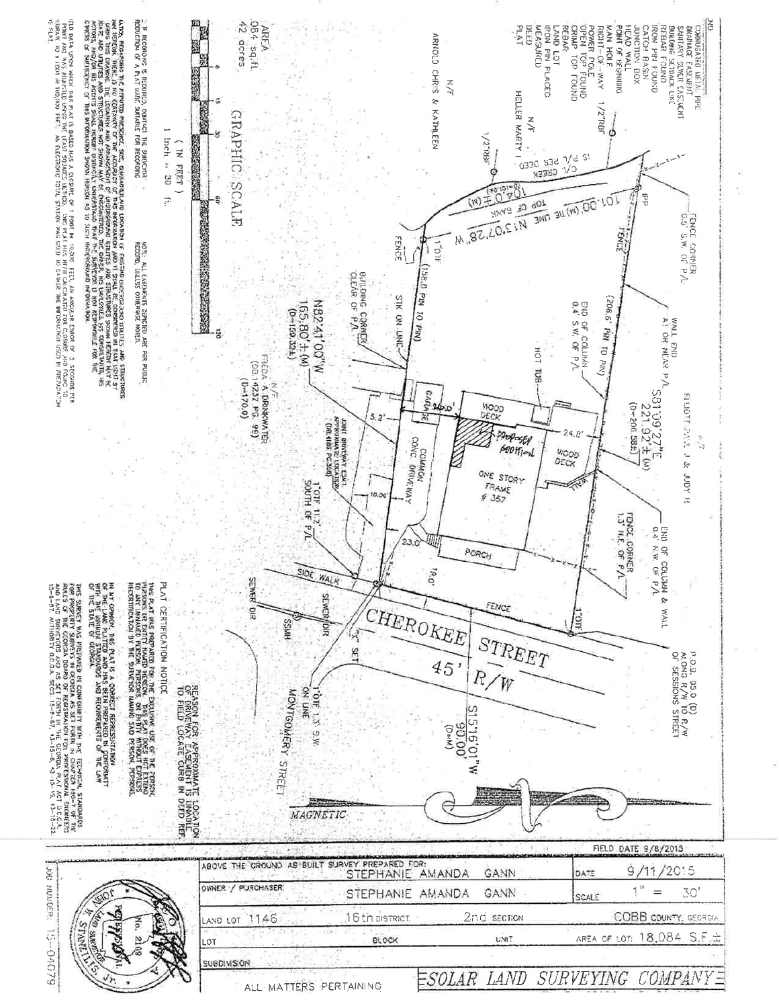

ALL MATTERS PERTAINING

SURVEYING ESOLAR LAND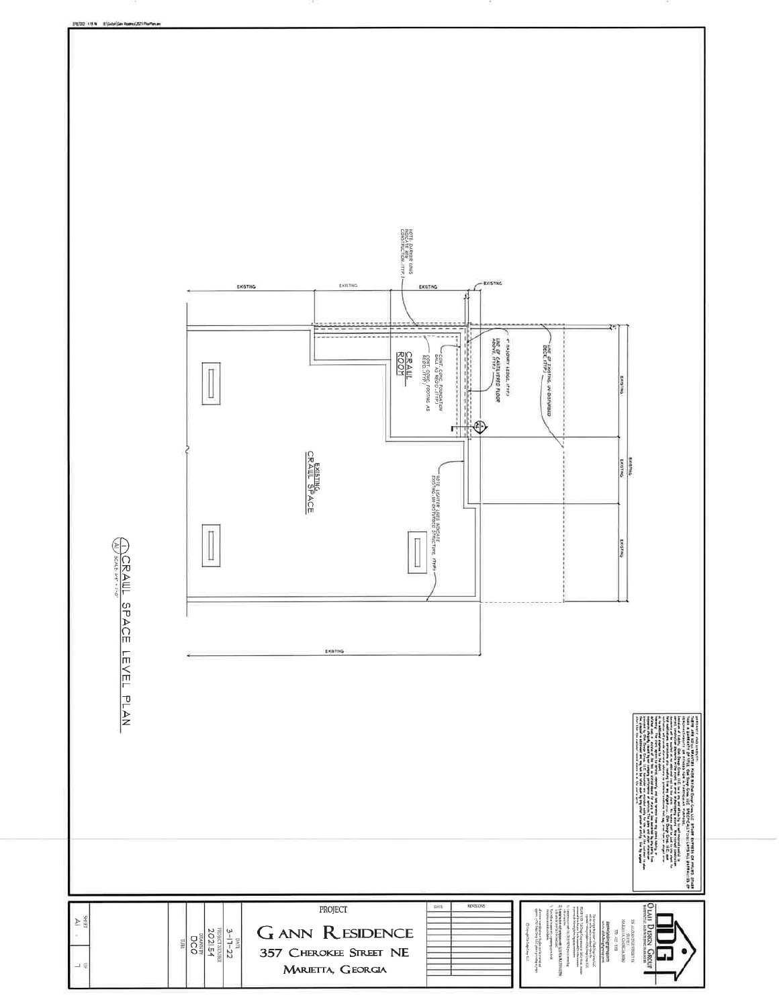![](_page_11_Figure_0.jpeg)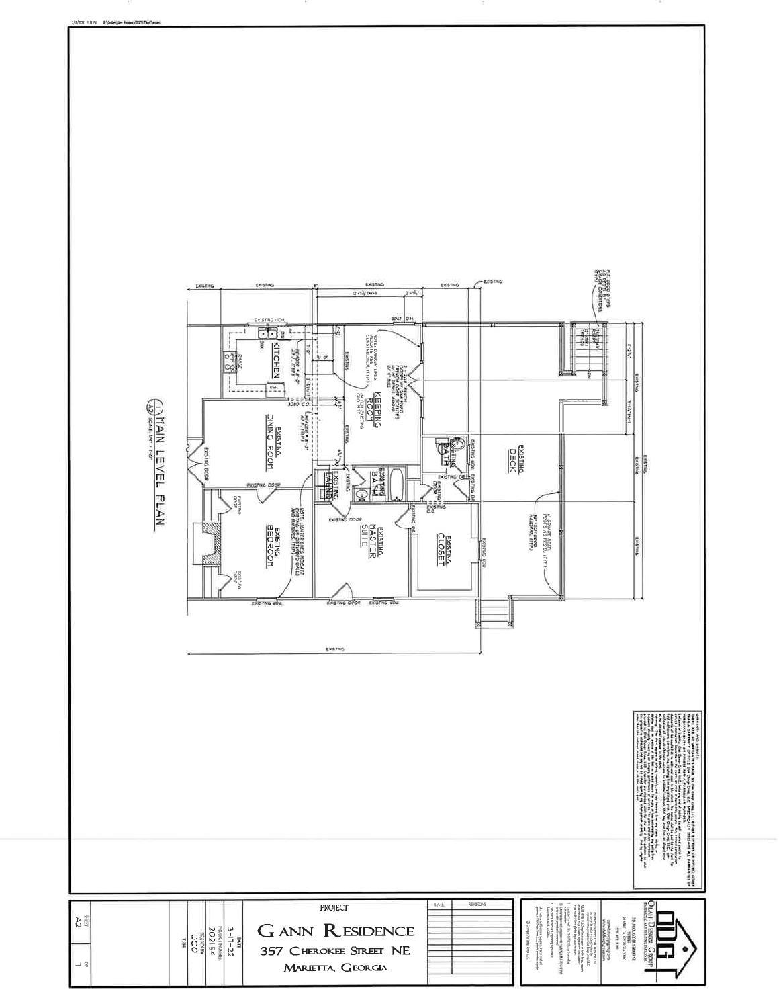![](_page_12_Figure_0.jpeg)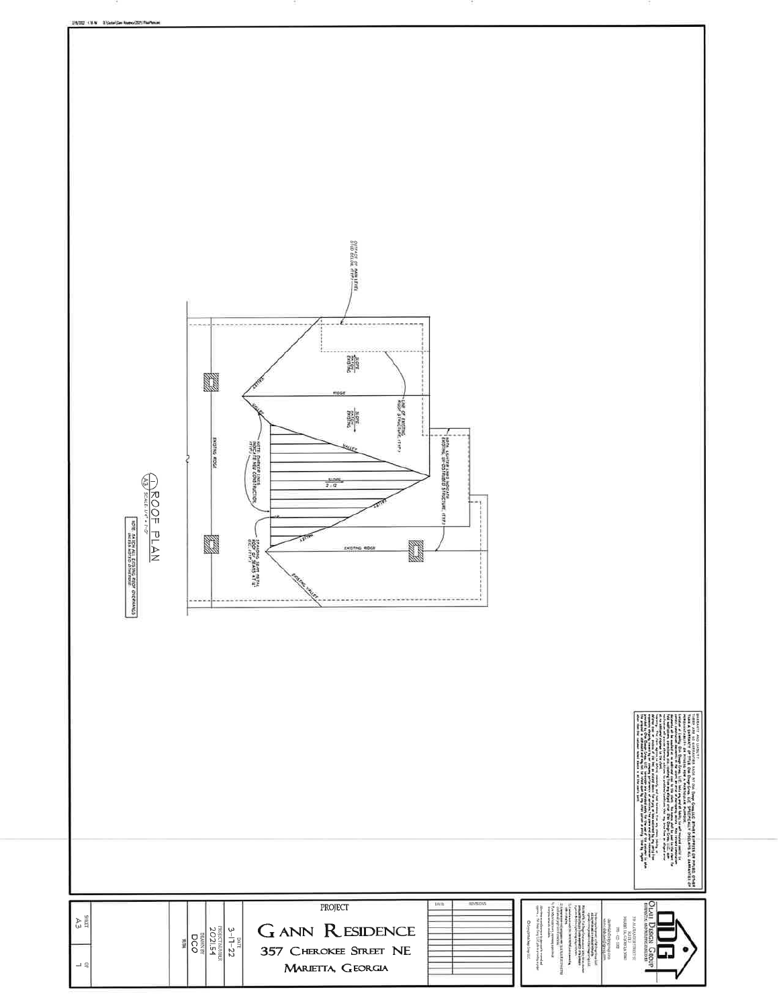| UNITE 1379 1/2000 De Romo/2010 Refrance<br>€<br>ROOF PLAN<br>ROOF PLAN<br>HOTE MATCH ALL EXISTING ROOF OVERWHESE       | <b>QUEACE OF MAIN LEVEL</b><br>STUD BELOO, ITEP !<br><br>講義<br><b>Second</b><br><b>ROCK</b><br>LINE OF EXISTING<br><b>Birth</b><br>- NOTE LOWTER LINES INDICATE<br>- EXISTING ON-COSTRUBED STRICTURE, CEVES<br><b>EXISTED RIDGE</b><br><b>Life</b><br>$\frac{u \cos \theta}{2 + 2}$<br>131.00<br><b>Service</b><br>- Standen, Start Hills<br>- ROD CV Starts<br>- SOD CV Starts<br><b>Robert Ball</b><br>existing each                                                                                                                                                                                                                 |                                                                                                                                                                                                 |
|------------------------------------------------------------------------------------------------------------------------|----------------------------------------------------------------------------------------------------------------------------------------------------------------------------------------------------------------------------------------------------------------------------------------------------------------------------------------------------------------------------------------------------------------------------------------------------------------------------------------------------------------------------------------------------------------------------------------------------------------------------------------|-------------------------------------------------------------------------------------------------------------------------------------------------------------------------------------------------|
|                                                                                                                        |                                                                                                                                                                                                                                                                                                                                                                                                                                                                                                                                                                                                                                        | NAME OF SAFE<br>龍                                                                                                                                                                               |
| $\begin{array}{c}\n\stackrel{\text{HEE}}{\triangle} \\ \stackrel{\text{HEE}}{\triangle} \\ \end{array}$<br>$ \sqrt{2}$ | DAIL<br>REVISIONS<br>$\overline{\text{PROJECT}}$<br>warehouse is a market of the proving as a strong of the state of the strong state of the strong state of the strong state of the strong state of the strong state of the strong state of the strong state of the strong state<br>$\mathbb{S}^{L^2 \times L^2}$<br>ia di mandata di Tanang ogo.<br>Tanàna dia mandata di Tanang di Tanang di Tan<br><b>TATATA IN STRAIGHT</b><br><b>GANN RESIDENCE</b><br>$\begin{array}{r} 2s-\frac{1}{11}-22 \\ 2021.54 \\ 2021.54 \\ \frac{DRMWIR}{DCOO} \\ \hline \end{array}$<br>ith<br>357 CHEROKEE STREET NE<br>cop LLC<br>MARIETTA, GEORGIA | īΟ<br><b>SIA ALANDER STEEF SE</b><br>SMARRI IA GEORGIA XORO<br>MARRI IA GEORGIA XORO<br>$\overline{m}$ .<br>: $\frac{\pi}{2}$ . $\overline{m}$<br>ماسیت که به به<br>مورد افزاده<br><b>GROUP</b> |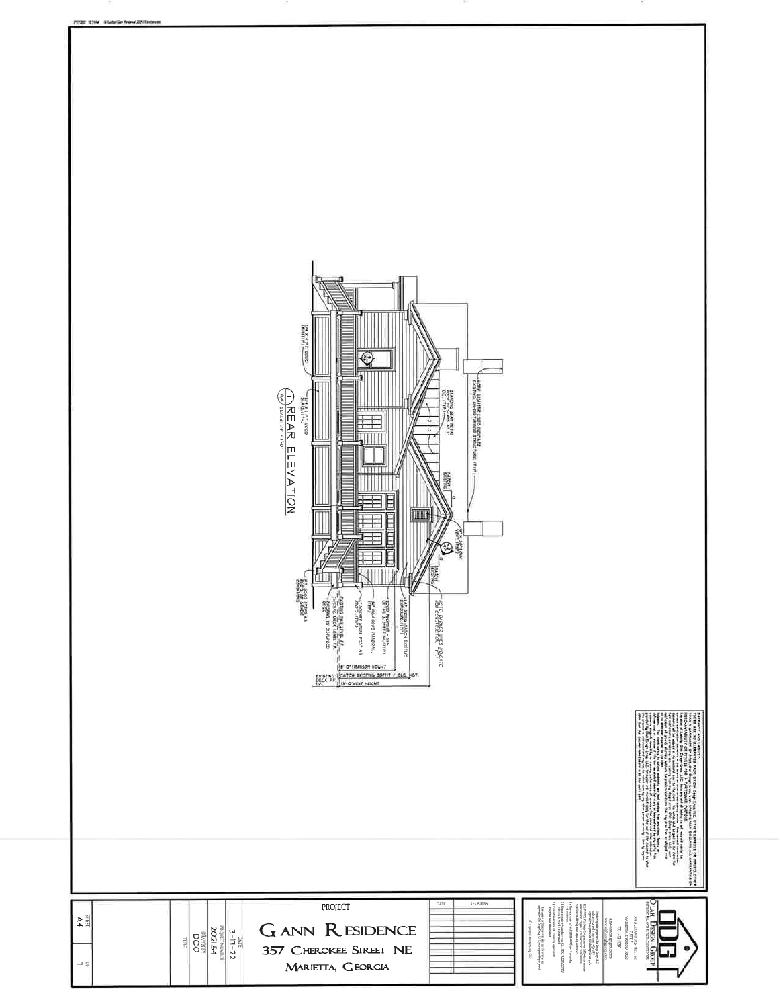![](_page_14_Picture_0.jpeg)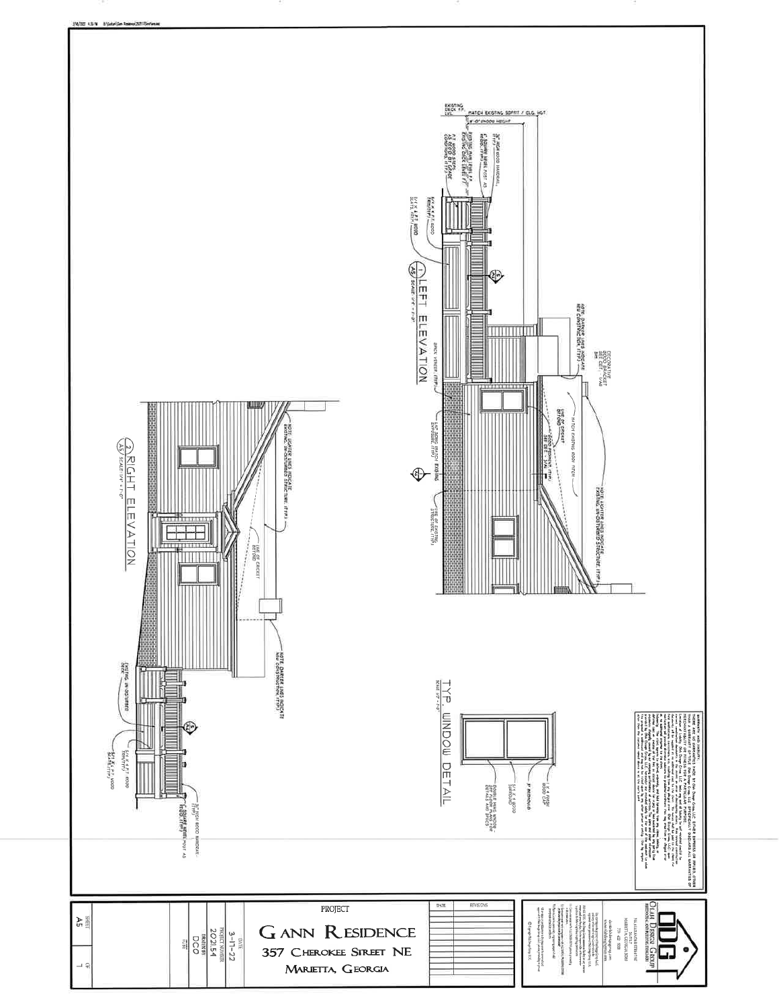![](_page_15_Figure_0.jpeg)